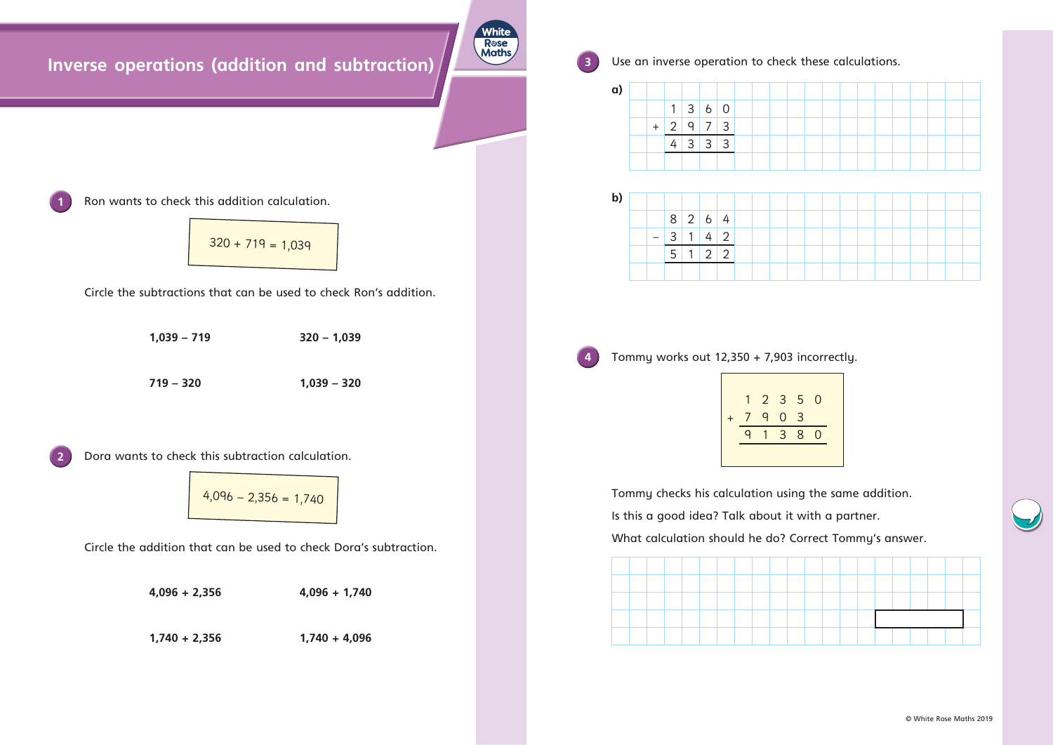## **Inverse operations (addition and subtraction)**



**3** Use an inverse operation to check these calculations.

Circle the subtractions that can be used to check Ron's addition.

**1,039 – 719 320 – 1,039 719 – 320 1,039 – 320**

**2** Dora wants to check this subtraction calculation.

Circle the addition that can be used to check Dora's subtraction.

**4,096 + 2,356 4,096 + 1,740**

**1,740 + 2,356 1,740 + 4,096**



| $\mathsf{a}$ |  |                   |                          |  |  |  |
|--------------|--|-------------------|--------------------------|--|--|--|
|              |  |                   | 1 3 6 0                  |  |  |  |
|              |  | $+ 2   9   7   3$ |                          |  |  |  |
|              |  |                   | $4 \mid 3 \mid 3 \mid 3$ |  |  |  |
|              |  |                   |                          |  |  |  |

| b) |  |  |                          |  |  |  |
|----|--|--|--------------------------|--|--|--|
|    |  |  | $8 \mid 2 \mid 6 \mid 4$ |  |  |  |
|    |  |  | $3 \mid 1 \mid 4 \mid 2$ |  |  |  |
|    |  |  | $5 \mid 1 \mid 2 \mid 2$ |  |  |  |
|    |  |  |                          |  |  |  |

**4** Tommy works out 12,350 + 7,903 incorrectly.

|                  | 1              | 2            | 3              |
|------------------|----------------|--------------|----------------|
| $\boldsymbol{+}$ | $\overline{7}$ | q            | 0              |
|                  | 9              | $\mathbf{1}$ | $\overline{3}$ |
|                  |                |              |                |





Tommy checks his calculation using the same addition. Is this a good idea? Talk about it with a partner. What calculation should he do? Correct Tommy's answer.



Ron wants to check this addition calculation.

$$
320 + 719 = 1,039
$$

$$
4,096 - 2,356 = 1,740
$$